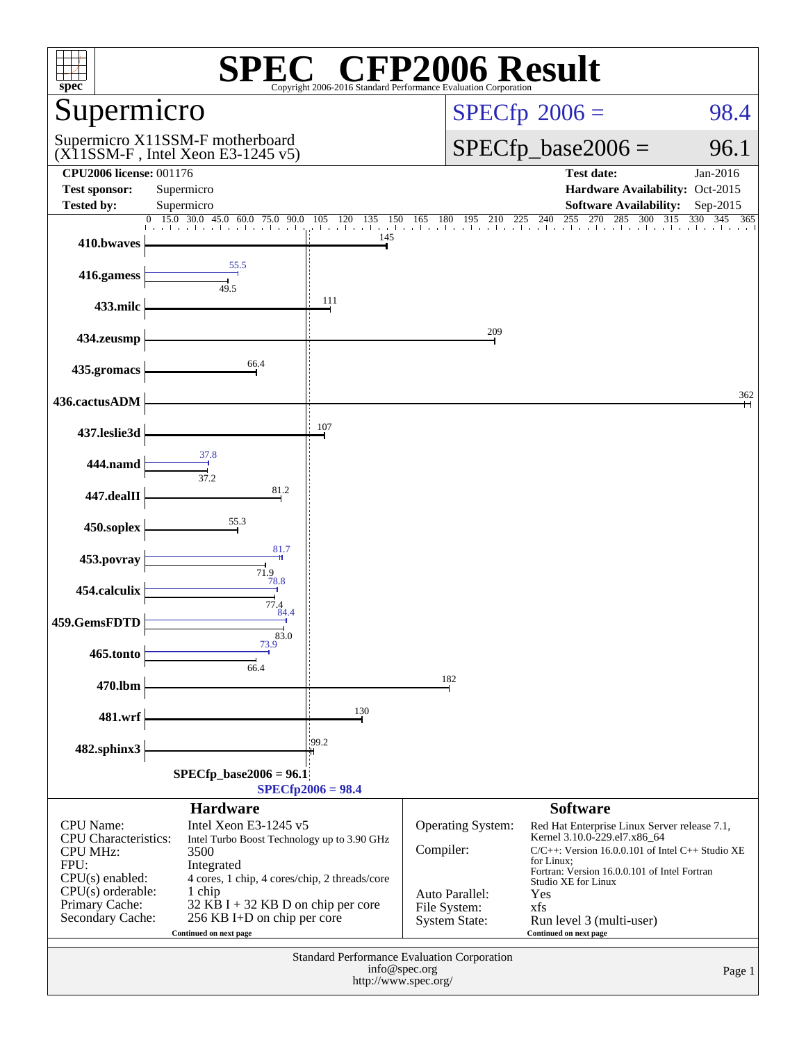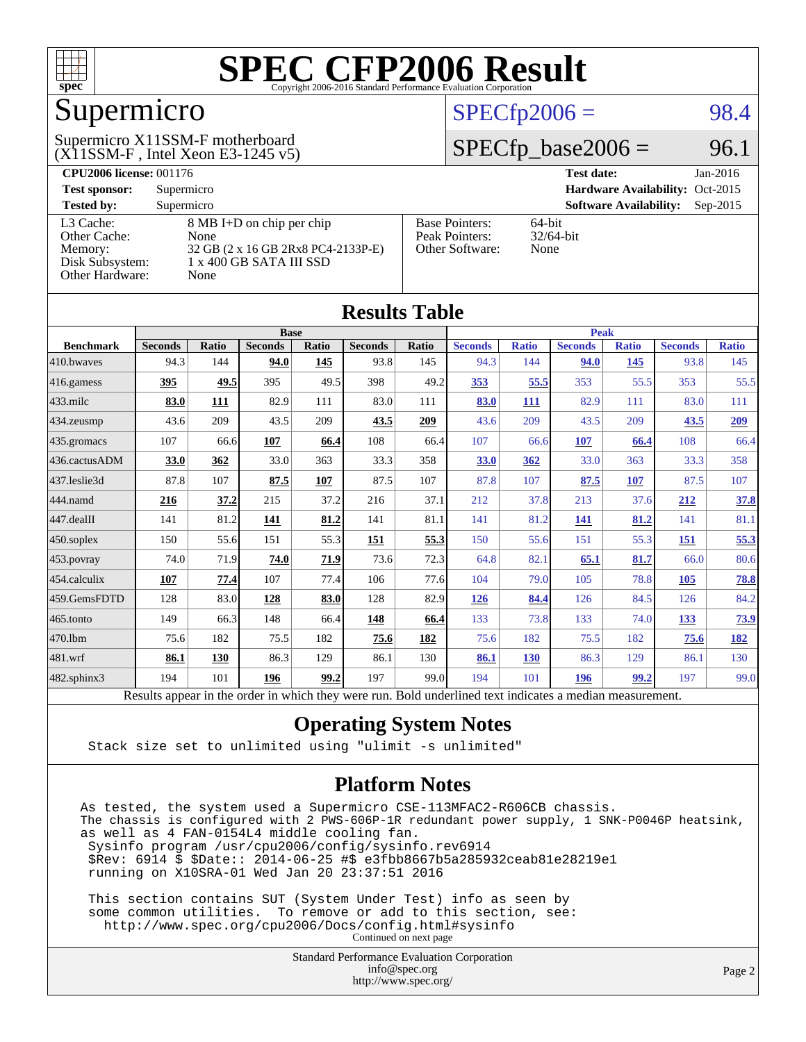

## Supermicro

#### (X11SSM-F , Intel Xeon E3-1245 v5) Supermicro X11SSM-F motherboard

#### $SPECfp2006 = 98.4$  $SPECfp2006 = 98.4$

#### $SPECTp\_base2006 = 96.1$

| <b>CPU2006 license: 001176</b> |                                    |                                 | <b>Test date:</b><br>$Jan-2016$             |  |  |  |
|--------------------------------|------------------------------------|---------------------------------|---------------------------------------------|--|--|--|
| <b>Test sponsor:</b>           | Supermicro                         | Hardware Availability: Oct-2015 |                                             |  |  |  |
| <b>Tested by:</b>              | Supermicro                         |                                 | <b>Software Availability:</b><br>$Sep-2015$ |  |  |  |
| L3 Cache:                      | 8 MB I+D on chip per chip          | <b>Base Pointers:</b>           | $64$ -bit                                   |  |  |  |
| Other Cache:                   | None                               | Peak Pointers:                  | $32/64$ -bit                                |  |  |  |
| Memory:                        | 32 GB (2 x 16 GB 2Rx8 PC4-2133P-E) | Other Software:                 | None                                        |  |  |  |
| Disk Subsystem:                | $1 \times 400$ GB SATA III SSD     |                                 |                                             |  |  |  |
| <b>Other Hardware:</b>         | None                               |                                 |                                             |  |  |  |

**[Results Table](http://www.spec.org/auto/cpu2006/Docs/result-fields.html#ResultsTable)**

|                  |                                                                                                          |       |                |       | Results Table  |       |                |              |                |              |                |              |
|------------------|----------------------------------------------------------------------------------------------------------|-------|----------------|-------|----------------|-------|----------------|--------------|----------------|--------------|----------------|--------------|
|                  | <b>Base</b>                                                                                              |       |                |       |                |       | <b>Peak</b>    |              |                |              |                |              |
| <b>Benchmark</b> | <b>Seconds</b>                                                                                           | Ratio | <b>Seconds</b> | Ratio | <b>Seconds</b> | Ratio | <b>Seconds</b> | <b>Ratio</b> | <b>Seconds</b> | <b>Ratio</b> | <b>Seconds</b> | <b>Ratio</b> |
| 410.bwayes       | 94.3                                                                                                     | 144   | 94.0           | 145   | 93.8           | 145   | 94.3           | 144          | 94.0           | 145          | 93.8           | 145          |
| 416.gamess       | 395                                                                                                      | 49.5  | 395            | 49.5  | 398            | 49.2  | 353            | 55.5         | 353            | 55.5         | 353            | 55.5         |
| $433$ .milc      | 83.0                                                                                                     | 111   | 82.9           | 111   | 83.0           | 111   | 83.0           | 111          | 82.9           | 111          | 83.0           | 111          |
| 434.zeusmp       | 43.6                                                                                                     | 209   | 43.5           | 209   | 43.5           | 209   | 43.6           | 209          | 43.5           | 209          | 43.5           | 209          |
| 435.gromacs      | 107                                                                                                      | 66.6  | 107            | 66.4  | 108            | 66.4  | 107            | 66.6         | 107            | 66.4         | 108            | 66.4         |
| 436.cactusADM    | 33.0                                                                                                     | 362   | 33.0           | 363   | 33.3           | 358   | 33.0           | 362          | 33.0           | 363          | 33.3           | 358          |
| 437.leslie3d     | 87.8                                                                                                     | 107   | 87.5           | 107   | 87.5           | 107   | 87.8           | 107          | 87.5           | <b>107</b>   | 87.5           | 107          |
| 444.namd         | 216                                                                                                      | 37.2  | 215            | 37.2  | 216            | 37.1  | 212            | 37.8         | 213            | 37.6         | 212            | 37.8         |
| 447.dealII       | 141                                                                                                      | 81.2  | 141            | 81.2  | 141            | 81.1  | 141            | 81.2         | 141            | 81.2         | 141            | 81.1         |
| $450$ .soplex    | 150                                                                                                      | 55.6  | 151            | 55.3  | 151            | 55.3  | 150            | 55.6         | 151            | 55.3         | 151            | 55.3         |
| 453.povray       | 74.0                                                                                                     | 71.9  | 74.0           | 71.9  | 73.6           | 72.3  | 64.8           | 82.1         | 65.1           | 81.7         | 66.0           | 80.6         |
| 454.calculix     | 107                                                                                                      | 77.4  | 107            | 77.4  | 106            | 77.6  | 104            | 79.0         | 105            | 78.8         | <b>105</b>     | 78.8         |
| 459.GemsFDTD     | 128                                                                                                      | 83.0  | 128            | 83.0  | 128            | 82.9  | 126            | 84.4         | 126            | 84.5         | 126            | 84.2         |
| 465.tonto        | 149                                                                                                      | 66.3  | 148            | 66.4  | <u>148</u>     | 66.4  | 133            | 73.8         | 133            | 74.0         | <u>133</u>     | 73.9         |
| 470.1bm          | 75.6                                                                                                     | 182   | 75.5           | 182   | 75.6           | 182   | 75.6           | 182          | 75.5           | 182          | 75.6           | <u>182</u>   |
| 481.wrf          | 86.1                                                                                                     | 130   | 86.3           | 129   | 86.1           | 130   | 86.1           | <b>130</b>   | 86.3           | 129          | 86.1           | 130          |
| 482.sphinx3      | 194                                                                                                      | 101   | 196            | 99.2  | 197            | 99.0  | 194            | 101          | 196            | 99.2         | 197            | 99.0         |
|                  | Results appear in the order in which they were run. Bold underlined text indicates a median measurement. |       |                |       |                |       |                |              |                |              |                |              |

#### **[Operating System Notes](http://www.spec.org/auto/cpu2006/Docs/result-fields.html#OperatingSystemNotes)**

Stack size set to unlimited using "ulimit -s unlimited"

#### **[Platform Notes](http://www.spec.org/auto/cpu2006/Docs/result-fields.html#PlatformNotes)**

As tested, the system used a Supermicro CSE-113MFAC2-R606CB chassis. The chassis is configured with 2 PWS-606P-1R redundant power supply, 1 SNK-P0046P heatsink, as well as 4 FAN-0154L4 middle cooling fan. Sysinfo program /usr/cpu2006/config/sysinfo.rev6914 \$Rev: 6914 \$ \$Date:: 2014-06-25 #\$ e3fbb8667b5a285932ceab81e28219e1 running on X10SRA-01 Wed Jan 20 23:37:51 2016

 This section contains SUT (System Under Test) info as seen by some common utilities. To remove or add to this section, see: <http://www.spec.org/cpu2006/Docs/config.html#sysinfo> Continued on next page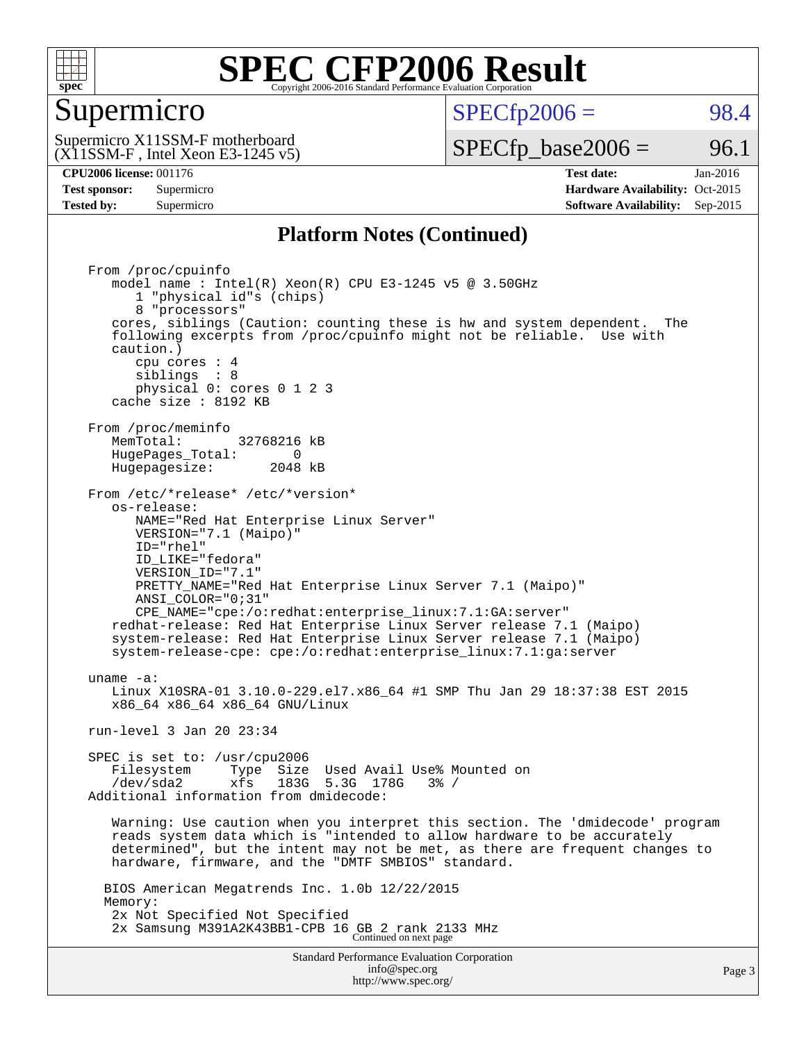

#### Supermicro

 $SPECTp2006 = 98.4$ 

(X11SSM-F , Intel Xeon E3-1245 v5) Supermicro X11SSM-F motherboard

 $SPECTp\_base2006 = 96.1$ 

**[CPU2006 license:](http://www.spec.org/auto/cpu2006/Docs/result-fields.html#CPU2006license)** 001176 **[Test date:](http://www.spec.org/auto/cpu2006/Docs/result-fields.html#Testdate)** Jan-2016 **[Test sponsor:](http://www.spec.org/auto/cpu2006/Docs/result-fields.html#Testsponsor)** Supermicro Supermicro **[Hardware Availability:](http://www.spec.org/auto/cpu2006/Docs/result-fields.html#HardwareAvailability)** Oct-2015 **[Tested by:](http://www.spec.org/auto/cpu2006/Docs/result-fields.html#Testedby)** Supermicro **Supermicro [Software Availability:](http://www.spec.org/auto/cpu2006/Docs/result-fields.html#SoftwareAvailability)** Sep-2015

#### **[Platform Notes \(Continued\)](http://www.spec.org/auto/cpu2006/Docs/result-fields.html#PlatformNotes)**

Standard Performance Evaluation Corporation [info@spec.org](mailto:info@spec.org) From /proc/cpuinfo model name : Intel(R) Xeon(R) CPU E3-1245 v5 @ 3.50GHz 1 "physical id"s (chips) 8 "processors" cores, siblings (Caution: counting these is hw and system dependent. The following excerpts from /proc/cpuinfo might not be reliable. Use with caution.) cpu cores : 4 siblings : 8 physical 0: cores 0 1 2 3 cache size : 8192 KB From /proc/meminfo<br>MemTotal: 32768216 kB HugePages\_Total: 0<br>Hugepagesize: 2048 kB Hugepagesize: From /etc/\*release\* /etc/\*version\* os-release: NAME="Red Hat Enterprise Linux Server" VERSION="7.1 (Maipo)" ID="rhel" ID\_LIKE="fedora" VERSION\_ID="7.1" PRETTY\_NAME="Red Hat Enterprise Linux Server 7.1 (Maipo)" ANSI\_COLOR="0;31" CPE\_NAME="cpe:/o:redhat:enterprise\_linux:7.1:GA:server" redhat-release: Red Hat Enterprise Linux Server release 7.1 (Maipo) system-release: Red Hat Enterprise Linux Server release 7.1 (Maipo) system-release-cpe: cpe:/o:redhat:enterprise\_linux:7.1:ga:server uname -a: Linux X10SRA-01 3.10.0-229.el7.x86\_64 #1 SMP Thu Jan 29 18:37:38 EST 2015 x86\_64 x86\_64 x86\_64 GNU/Linux run-level 3 Jan 20 23:34 SPEC is set to: /usr/cpu2006 Filesystem Type Size Used Avail Use% Mounted on<br>  $\frac{1}{2}$  /dev/sda2 xfs 183G 5.3G 178G 3% / Additional information from dmidecode: Warning: Use caution when you interpret this section. The 'dmidecode' program reads system data which is "intended to allow hardware to be accurately determined", but the intent may not be met, as there are frequent changes to hardware, firmware, and the "DMTF SMBIOS" standard. BIOS American Megatrends Inc. 1.0b 12/22/2015 Memory: 2x Not Specified Not Specified 2x Samsung M391A2K43BB1-CPB 16 GB 2 rank 2133 MHz Continued on next page

<http://www.spec.org/>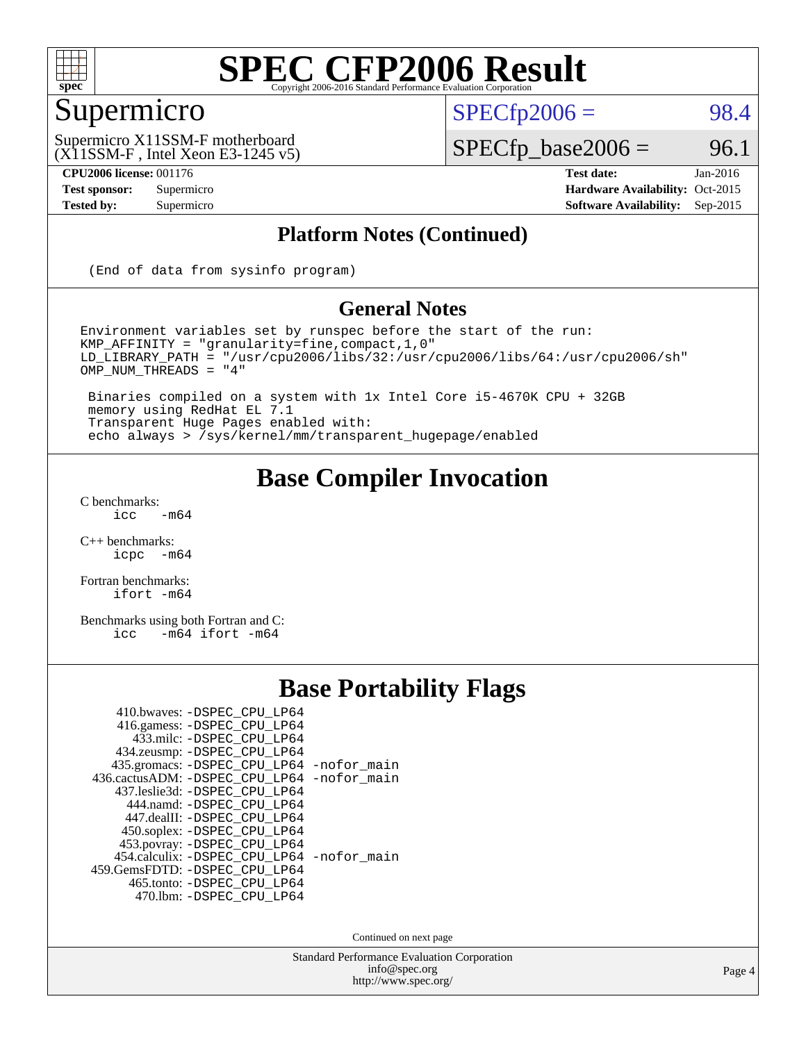

## Supermicro

 $SPECTp2006 = 98.4$ 

(X11SSM-F , Intel Xeon E3-1245 v5) Supermicro X11SSM-F motherboard

**[CPU2006 license:](http://www.spec.org/auto/cpu2006/Docs/result-fields.html#CPU2006license)** 001176 **[Test date:](http://www.spec.org/auto/cpu2006/Docs/result-fields.html#Testdate)** Jan-2016

 $SPECfp\_base2006 = 96.1$ 

**[Test sponsor:](http://www.spec.org/auto/cpu2006/Docs/result-fields.html#Testsponsor)** Supermicro Supermicro **[Hardware Availability:](http://www.spec.org/auto/cpu2006/Docs/result-fields.html#HardwareAvailability)** Oct-2015 **[Tested by:](http://www.spec.org/auto/cpu2006/Docs/result-fields.html#Testedby)** Supermicro **[Software Availability:](http://www.spec.org/auto/cpu2006/Docs/result-fields.html#SoftwareAvailability)** Sep-2015

#### **[Platform Notes \(Continued\)](http://www.spec.org/auto/cpu2006/Docs/result-fields.html#PlatformNotes)**

(End of data from sysinfo program)

#### **[General Notes](http://www.spec.org/auto/cpu2006/Docs/result-fields.html#GeneralNotes)**

Environment variables set by runspec before the start of the run: KMP\_AFFINITY = "granularity=fine,compact,1,0" LD\_LIBRARY\_PATH = "/usr/cpu2006/libs/32:/usr/cpu2006/libs/64:/usr/cpu2006/sh" OMP\_NUM\_THREADS = "4"

 Binaries compiled on a system with 1x Intel Core i5-4670K CPU + 32GB memory using RedHat EL 7.1 Transparent Huge Pages enabled with: echo always > /sys/kernel/mm/transparent\_hugepage/enabled

#### **[Base Compiler Invocation](http://www.spec.org/auto/cpu2006/Docs/result-fields.html#BaseCompilerInvocation)**

 $C$  benchmarks:<br>icc  $-m64$ 

[C++ benchmarks:](http://www.spec.org/auto/cpu2006/Docs/result-fields.html#CXXbenchmarks) [icpc -m64](http://www.spec.org/cpu2006/results/res2016q1/cpu2006-20160125-38777.flags.html#user_CXXbase_intel_icpc_64bit_bedb90c1146cab66620883ef4f41a67e)

[Fortran benchmarks](http://www.spec.org/auto/cpu2006/Docs/result-fields.html#Fortranbenchmarks): [ifort -m64](http://www.spec.org/cpu2006/results/res2016q1/cpu2006-20160125-38777.flags.html#user_FCbase_intel_ifort_64bit_ee9d0fb25645d0210d97eb0527dcc06e)

[Benchmarks using both Fortran and C](http://www.spec.org/auto/cpu2006/Docs/result-fields.html#BenchmarksusingbothFortranandC): [icc -m64](http://www.spec.org/cpu2006/results/res2016q1/cpu2006-20160125-38777.flags.html#user_CC_FCbase_intel_icc_64bit_0b7121f5ab7cfabee23d88897260401c) [ifort -m64](http://www.spec.org/cpu2006/results/res2016q1/cpu2006-20160125-38777.flags.html#user_CC_FCbase_intel_ifort_64bit_ee9d0fb25645d0210d97eb0527dcc06e)

## **[Base Portability Flags](http://www.spec.org/auto/cpu2006/Docs/result-fields.html#BasePortabilityFlags)**

| 410.bwaves: -DSPEC CPU LP64                 |  |
|---------------------------------------------|--|
| 416.gamess: -DSPEC_CPU_LP64                 |  |
| 433.milc: -DSPEC CPU LP64                   |  |
| 434.zeusmp: -DSPEC_CPU_LP64                 |  |
| 435.gromacs: -DSPEC_CPU_LP64 -nofor_main    |  |
| 436.cactusADM: -DSPEC_CPU_LP64 -nofor_main  |  |
| 437.leslie3d: -DSPEC_CPU LP64               |  |
| 444.namd: -DSPEC CPU LP64                   |  |
| 447.dealII: -DSPEC CPU LP64                 |  |
| 450.soplex: -DSPEC_CPU_LP64                 |  |
| 453.povray: -DSPEC_CPU_LP64                 |  |
| 454.calculix: - DSPEC CPU LP64 - nofor main |  |
| 459.GemsFDTD: - DSPEC CPU LP64              |  |
| 465.tonto: - DSPEC_CPU_LP64                 |  |
| 470.1bm: - DSPEC CPU LP64                   |  |

Continued on next page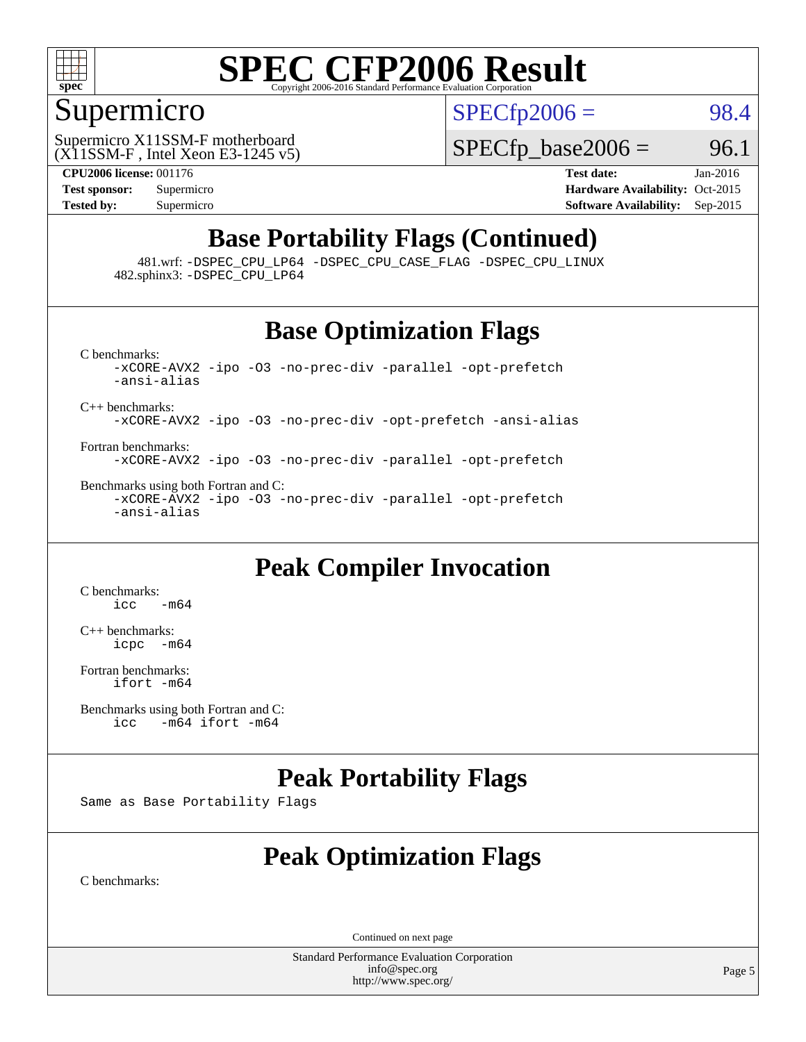

#### Supermicro

 $SPECTp2006 = 98.4$ 

(X11SSM-F , Intel Xeon E3-1245 v5) Supermicro X11SSM-F motherboard

 $SPECTp\_base2006 = 96.1$ 

**[CPU2006 license:](http://www.spec.org/auto/cpu2006/Docs/result-fields.html#CPU2006license)** 001176 **[Test date:](http://www.spec.org/auto/cpu2006/Docs/result-fields.html#Testdate)** Jan-2016 **[Test sponsor:](http://www.spec.org/auto/cpu2006/Docs/result-fields.html#Testsponsor)** Supermicro Supermicro **[Hardware Availability:](http://www.spec.org/auto/cpu2006/Docs/result-fields.html#HardwareAvailability)** Oct-2015 **[Tested by:](http://www.spec.org/auto/cpu2006/Docs/result-fields.html#Testedby)** Supermicro **Supermicro [Software Availability:](http://www.spec.org/auto/cpu2006/Docs/result-fields.html#SoftwareAvailability)** Sep-2015

## **[Base Portability Flags \(Continued\)](http://www.spec.org/auto/cpu2006/Docs/result-fields.html#BasePortabilityFlags)**

 481.wrf: [-DSPEC\\_CPU\\_LP64](http://www.spec.org/cpu2006/results/res2016q1/cpu2006-20160125-38777.flags.html#suite_basePORTABILITY481_wrf_DSPEC_CPU_LP64) [-DSPEC\\_CPU\\_CASE\\_FLAG](http://www.spec.org/cpu2006/results/res2016q1/cpu2006-20160125-38777.flags.html#b481.wrf_baseCPORTABILITY_DSPEC_CPU_CASE_FLAG) [-DSPEC\\_CPU\\_LINUX](http://www.spec.org/cpu2006/results/res2016q1/cpu2006-20160125-38777.flags.html#b481.wrf_baseCPORTABILITY_DSPEC_CPU_LINUX) 482.sphinx3: [-DSPEC\\_CPU\\_LP64](http://www.spec.org/cpu2006/results/res2016q1/cpu2006-20160125-38777.flags.html#suite_basePORTABILITY482_sphinx3_DSPEC_CPU_LP64)

#### **[Base Optimization Flags](http://www.spec.org/auto/cpu2006/Docs/result-fields.html#BaseOptimizationFlags)**

[C benchmarks](http://www.spec.org/auto/cpu2006/Docs/result-fields.html#Cbenchmarks): [-xCORE-AVX2](http://www.spec.org/cpu2006/results/res2016q1/cpu2006-20160125-38777.flags.html#user_CCbase_f-xAVX2_5f5fc0cbe2c9f62c816d3e45806c70d7) [-ipo](http://www.spec.org/cpu2006/results/res2016q1/cpu2006-20160125-38777.flags.html#user_CCbase_f-ipo) [-O3](http://www.spec.org/cpu2006/results/res2016q1/cpu2006-20160125-38777.flags.html#user_CCbase_f-O3) [-no-prec-div](http://www.spec.org/cpu2006/results/res2016q1/cpu2006-20160125-38777.flags.html#user_CCbase_f-no-prec-div) [-parallel](http://www.spec.org/cpu2006/results/res2016q1/cpu2006-20160125-38777.flags.html#user_CCbase_f-parallel) [-opt-prefetch](http://www.spec.org/cpu2006/results/res2016q1/cpu2006-20160125-38777.flags.html#user_CCbase_f-opt-prefetch) [-ansi-alias](http://www.spec.org/cpu2006/results/res2016q1/cpu2006-20160125-38777.flags.html#user_CCbase_f-ansi-alias) [C++ benchmarks:](http://www.spec.org/auto/cpu2006/Docs/result-fields.html#CXXbenchmarks) [-xCORE-AVX2](http://www.spec.org/cpu2006/results/res2016q1/cpu2006-20160125-38777.flags.html#user_CXXbase_f-xAVX2_5f5fc0cbe2c9f62c816d3e45806c70d7) [-ipo](http://www.spec.org/cpu2006/results/res2016q1/cpu2006-20160125-38777.flags.html#user_CXXbase_f-ipo) [-O3](http://www.spec.org/cpu2006/results/res2016q1/cpu2006-20160125-38777.flags.html#user_CXXbase_f-O3) [-no-prec-div](http://www.spec.org/cpu2006/results/res2016q1/cpu2006-20160125-38777.flags.html#user_CXXbase_f-no-prec-div) [-opt-prefetch](http://www.spec.org/cpu2006/results/res2016q1/cpu2006-20160125-38777.flags.html#user_CXXbase_f-opt-prefetch) [-ansi-alias](http://www.spec.org/cpu2006/results/res2016q1/cpu2006-20160125-38777.flags.html#user_CXXbase_f-ansi-alias)

[Fortran benchmarks](http://www.spec.org/auto/cpu2006/Docs/result-fields.html#Fortranbenchmarks): [-xCORE-AVX2](http://www.spec.org/cpu2006/results/res2016q1/cpu2006-20160125-38777.flags.html#user_FCbase_f-xAVX2_5f5fc0cbe2c9f62c816d3e45806c70d7) [-ipo](http://www.spec.org/cpu2006/results/res2016q1/cpu2006-20160125-38777.flags.html#user_FCbase_f-ipo) [-O3](http://www.spec.org/cpu2006/results/res2016q1/cpu2006-20160125-38777.flags.html#user_FCbase_f-O3) [-no-prec-div](http://www.spec.org/cpu2006/results/res2016q1/cpu2006-20160125-38777.flags.html#user_FCbase_f-no-prec-div) [-parallel](http://www.spec.org/cpu2006/results/res2016q1/cpu2006-20160125-38777.flags.html#user_FCbase_f-parallel) [-opt-prefetch](http://www.spec.org/cpu2006/results/res2016q1/cpu2006-20160125-38777.flags.html#user_FCbase_f-opt-prefetch)

[Benchmarks using both Fortran and C](http://www.spec.org/auto/cpu2006/Docs/result-fields.html#BenchmarksusingbothFortranandC): [-xCORE-AVX2](http://www.spec.org/cpu2006/results/res2016q1/cpu2006-20160125-38777.flags.html#user_CC_FCbase_f-xAVX2_5f5fc0cbe2c9f62c816d3e45806c70d7) [-ipo](http://www.spec.org/cpu2006/results/res2016q1/cpu2006-20160125-38777.flags.html#user_CC_FCbase_f-ipo) [-O3](http://www.spec.org/cpu2006/results/res2016q1/cpu2006-20160125-38777.flags.html#user_CC_FCbase_f-O3) [-no-prec-div](http://www.spec.org/cpu2006/results/res2016q1/cpu2006-20160125-38777.flags.html#user_CC_FCbase_f-no-prec-div) [-parallel](http://www.spec.org/cpu2006/results/res2016q1/cpu2006-20160125-38777.flags.html#user_CC_FCbase_f-parallel) [-opt-prefetch](http://www.spec.org/cpu2006/results/res2016q1/cpu2006-20160125-38777.flags.html#user_CC_FCbase_f-opt-prefetch) [-ansi-alias](http://www.spec.org/cpu2006/results/res2016q1/cpu2006-20160125-38777.flags.html#user_CC_FCbase_f-ansi-alias)

#### **[Peak Compiler Invocation](http://www.spec.org/auto/cpu2006/Docs/result-fields.html#PeakCompilerInvocation)**

[C benchmarks](http://www.spec.org/auto/cpu2006/Docs/result-fields.html#Cbenchmarks):  $\text{icc}$   $-\text{m64}$ 

[C++ benchmarks:](http://www.spec.org/auto/cpu2006/Docs/result-fields.html#CXXbenchmarks) [icpc -m64](http://www.spec.org/cpu2006/results/res2016q1/cpu2006-20160125-38777.flags.html#user_CXXpeak_intel_icpc_64bit_bedb90c1146cab66620883ef4f41a67e)

[Fortran benchmarks](http://www.spec.org/auto/cpu2006/Docs/result-fields.html#Fortranbenchmarks): [ifort -m64](http://www.spec.org/cpu2006/results/res2016q1/cpu2006-20160125-38777.flags.html#user_FCpeak_intel_ifort_64bit_ee9d0fb25645d0210d97eb0527dcc06e)

[Benchmarks using both Fortran and C](http://www.spec.org/auto/cpu2006/Docs/result-fields.html#BenchmarksusingbothFortranandC):<br>icc -m64 if ort -m64  $-m64$  ifort  $-m64$ 

#### **[Peak Portability Flags](http://www.spec.org/auto/cpu2006/Docs/result-fields.html#PeakPortabilityFlags)**

Same as Base Portability Flags

## **[Peak Optimization Flags](http://www.spec.org/auto/cpu2006/Docs/result-fields.html#PeakOptimizationFlags)**

[C benchmarks](http://www.spec.org/auto/cpu2006/Docs/result-fields.html#Cbenchmarks):

Continued on next page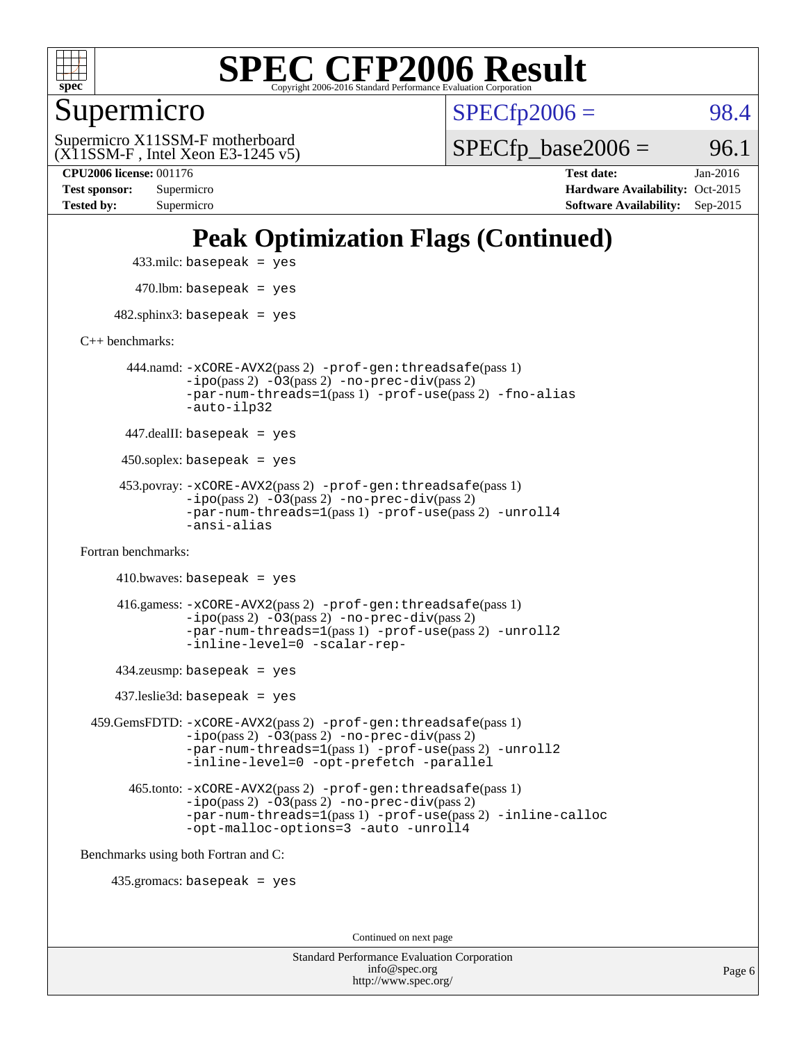

Supermicro

 $SPECTp2006 = 98.4$ 

(X11SSM-F , Intel Xeon E3-1245 v5) Supermicro X11SSM-F motherboard

 $SPECTp\_base2006 = 96.1$ 

**[CPU2006 license:](http://www.spec.org/auto/cpu2006/Docs/result-fields.html#CPU2006license)** 001176 **[Test date:](http://www.spec.org/auto/cpu2006/Docs/result-fields.html#Testdate)** Jan-2016 **[Test sponsor:](http://www.spec.org/auto/cpu2006/Docs/result-fields.html#Testsponsor)** Supermicro Supermicro **[Hardware Availability:](http://www.spec.org/auto/cpu2006/Docs/result-fields.html#HardwareAvailability)** Oct-2015 **[Tested by:](http://www.spec.org/auto/cpu2006/Docs/result-fields.html#Testedby)** Supermicro **Supermicro [Software Availability:](http://www.spec.org/auto/cpu2006/Docs/result-fields.html#SoftwareAvailability)** Sep-2015

## **[Peak Optimization Flags \(Continued\)](http://www.spec.org/auto/cpu2006/Docs/result-fields.html#PeakOptimizationFlags)**

 433.milc: basepeak = yes  $470$ .lbm: basepeak = yes

 $482$ .sphinx3: basepeak = yes

[C++ benchmarks:](http://www.spec.org/auto/cpu2006/Docs/result-fields.html#CXXbenchmarks)

 444.namd: [-xCORE-AVX2](http://www.spec.org/cpu2006/results/res2016q1/cpu2006-20160125-38777.flags.html#user_peakPASS2_CXXFLAGSPASS2_LDFLAGS444_namd_f-xAVX2_5f5fc0cbe2c9f62c816d3e45806c70d7)(pass 2) [-prof-gen:threadsafe](http://www.spec.org/cpu2006/results/res2016q1/cpu2006-20160125-38777.flags.html#user_peakPASS1_CXXFLAGSPASS1_LDFLAGS444_namd_prof_gen_21a26eb79f378b550acd7bec9fe4467a)(pass 1) [-ipo](http://www.spec.org/cpu2006/results/res2016q1/cpu2006-20160125-38777.flags.html#user_peakPASS2_CXXFLAGSPASS2_LDFLAGS444_namd_f-ipo)(pass 2) [-O3](http://www.spec.org/cpu2006/results/res2016q1/cpu2006-20160125-38777.flags.html#user_peakPASS2_CXXFLAGSPASS2_LDFLAGS444_namd_f-O3)(pass 2) [-no-prec-div](http://www.spec.org/cpu2006/results/res2016q1/cpu2006-20160125-38777.flags.html#user_peakPASS2_CXXFLAGSPASS2_LDFLAGS444_namd_f-no-prec-div)(pass 2) [-par-num-threads=1](http://www.spec.org/cpu2006/results/res2016q1/cpu2006-20160125-38777.flags.html#user_peakPASS1_CXXFLAGSPASS1_LDFLAGS444_namd_par_num_threads_786a6ff141b4e9e90432e998842df6c2)(pass 1) [-prof-use](http://www.spec.org/cpu2006/results/res2016q1/cpu2006-20160125-38777.flags.html#user_peakPASS2_CXXFLAGSPASS2_LDFLAGS444_namd_prof_use_bccf7792157ff70d64e32fe3e1250b55)(pass 2) [-fno-alias](http://www.spec.org/cpu2006/results/res2016q1/cpu2006-20160125-38777.flags.html#user_peakCXXOPTIMIZEOPTIMIZE444_namd_f-no-alias_694e77f6c5a51e658e82ccff53a9e63a) [-auto-ilp32](http://www.spec.org/cpu2006/results/res2016q1/cpu2006-20160125-38777.flags.html#user_peakCXXOPTIMIZE444_namd_f-auto-ilp32)

447.dealII: basepeak = yes

 $450$ .soplex: basepeak = yes

 453.povray: [-xCORE-AVX2](http://www.spec.org/cpu2006/results/res2016q1/cpu2006-20160125-38777.flags.html#user_peakPASS2_CXXFLAGSPASS2_LDFLAGS453_povray_f-xAVX2_5f5fc0cbe2c9f62c816d3e45806c70d7)(pass 2) [-prof-gen:threadsafe](http://www.spec.org/cpu2006/results/res2016q1/cpu2006-20160125-38777.flags.html#user_peakPASS1_CXXFLAGSPASS1_LDFLAGS453_povray_prof_gen_21a26eb79f378b550acd7bec9fe4467a)(pass 1)  $-ipo(pass 2) -\overline{O3(pass 2)}$  $-ipo(pass 2) -\overline{O3(pass 2)}$  [-no-prec-div](http://www.spec.org/cpu2006/results/res2016q1/cpu2006-20160125-38777.flags.html#user_peakPASS2_CXXFLAGSPASS2_LDFLAGS453_povray_f-no-prec-div)(pass 2) [-par-num-threads=1](http://www.spec.org/cpu2006/results/res2016q1/cpu2006-20160125-38777.flags.html#user_peakPASS1_CXXFLAGSPASS1_LDFLAGS453_povray_par_num_threads_786a6ff141b4e9e90432e998842df6c2)(pass 1) [-prof-use](http://www.spec.org/cpu2006/results/res2016q1/cpu2006-20160125-38777.flags.html#user_peakPASS2_CXXFLAGSPASS2_LDFLAGS453_povray_prof_use_bccf7792157ff70d64e32fe3e1250b55)(pass 2) [-unroll4](http://www.spec.org/cpu2006/results/res2016q1/cpu2006-20160125-38777.flags.html#user_peakCXXOPTIMIZE453_povray_f-unroll_4e5e4ed65b7fd20bdcd365bec371b81f) [-ansi-alias](http://www.spec.org/cpu2006/results/res2016q1/cpu2006-20160125-38777.flags.html#user_peakCXXOPTIMIZE453_povray_f-ansi-alias)

[Fortran benchmarks](http://www.spec.org/auto/cpu2006/Docs/result-fields.html#Fortranbenchmarks):

```
410.bwaves: basepeak = yes 416.gamess: -xCORE-AVX2(pass 2) -prof-gen:threadsafe(pass 1)
-i\text{po}(pass 2) -\tilde{O}3(pass 2)-no-prec-div(pass 2)
-par-num-threads=1(pass 1) -prof-use(pass 2) -unroll2
-inline-level=0 -scalar-rep-
```
434.zeusmp: basepeak = yes

437.leslie3d: basepeak = yes

 459.GemsFDTD: [-xCORE-AVX2](http://www.spec.org/cpu2006/results/res2016q1/cpu2006-20160125-38777.flags.html#user_peakPASS2_FFLAGSPASS2_LDFLAGS459_GemsFDTD_f-xAVX2_5f5fc0cbe2c9f62c816d3e45806c70d7)(pass 2) [-prof-gen:threadsafe](http://www.spec.org/cpu2006/results/res2016q1/cpu2006-20160125-38777.flags.html#user_peakPASS1_FFLAGSPASS1_LDFLAGS459_GemsFDTD_prof_gen_21a26eb79f378b550acd7bec9fe4467a)(pass 1) [-ipo](http://www.spec.org/cpu2006/results/res2016q1/cpu2006-20160125-38777.flags.html#user_peakPASS2_FFLAGSPASS2_LDFLAGS459_GemsFDTD_f-ipo)(pass 2) [-O3](http://www.spec.org/cpu2006/results/res2016q1/cpu2006-20160125-38777.flags.html#user_peakPASS2_FFLAGSPASS2_LDFLAGS459_GemsFDTD_f-O3)(pass 2) [-no-prec-div](http://www.spec.org/cpu2006/results/res2016q1/cpu2006-20160125-38777.flags.html#user_peakPASS2_FFLAGSPASS2_LDFLAGS459_GemsFDTD_f-no-prec-div)(pass 2) [-par-num-threads=1](http://www.spec.org/cpu2006/results/res2016q1/cpu2006-20160125-38777.flags.html#user_peakPASS1_FFLAGSPASS1_LDFLAGS459_GemsFDTD_par_num_threads_786a6ff141b4e9e90432e998842df6c2)(pass 1) [-prof-use](http://www.spec.org/cpu2006/results/res2016q1/cpu2006-20160125-38777.flags.html#user_peakPASS2_FFLAGSPASS2_LDFLAGS459_GemsFDTD_prof_use_bccf7792157ff70d64e32fe3e1250b55)(pass 2) [-unroll2](http://www.spec.org/cpu2006/results/res2016q1/cpu2006-20160125-38777.flags.html#user_peakOPTIMIZE459_GemsFDTD_f-unroll_784dae83bebfb236979b41d2422d7ec2) [-inline-level=0](http://www.spec.org/cpu2006/results/res2016q1/cpu2006-20160125-38777.flags.html#user_peakOPTIMIZE459_GemsFDTD_f-inline-level_318d07a09274ad25e8d15dbfaa68ba50) [-opt-prefetch](http://www.spec.org/cpu2006/results/res2016q1/cpu2006-20160125-38777.flags.html#user_peakOPTIMIZE459_GemsFDTD_f-opt-prefetch) [-parallel](http://www.spec.org/cpu2006/results/res2016q1/cpu2006-20160125-38777.flags.html#user_peakOPTIMIZE459_GemsFDTD_f-parallel)

 465.tonto: [-xCORE-AVX2](http://www.spec.org/cpu2006/results/res2016q1/cpu2006-20160125-38777.flags.html#user_peakPASS2_FFLAGSPASS2_LDFLAGS465_tonto_f-xAVX2_5f5fc0cbe2c9f62c816d3e45806c70d7)(pass 2) [-prof-gen:threadsafe](http://www.spec.org/cpu2006/results/res2016q1/cpu2006-20160125-38777.flags.html#user_peakPASS1_FFLAGSPASS1_LDFLAGS465_tonto_prof_gen_21a26eb79f378b550acd7bec9fe4467a)(pass 1)  $-i\text{po}(pass 2) -\overline{0}3(pass 2) -no-prec-div(pass 2)$  $-i\text{po}(pass 2) -\overline{0}3(pass 2) -no-prec-div(pass 2)$  $-i\text{po}(pass 2) -\overline{0}3(pass 2) -no-prec-div(pass 2)$ [-par-num-threads=1](http://www.spec.org/cpu2006/results/res2016q1/cpu2006-20160125-38777.flags.html#user_peakPASS1_FFLAGSPASS1_LDFLAGS465_tonto_par_num_threads_786a6ff141b4e9e90432e998842df6c2)(pass 1) [-prof-use](http://www.spec.org/cpu2006/results/res2016q1/cpu2006-20160125-38777.flags.html#user_peakPASS2_FFLAGSPASS2_LDFLAGS465_tonto_prof_use_bccf7792157ff70d64e32fe3e1250b55)(pass 2) [-inline-calloc](http://www.spec.org/cpu2006/results/res2016q1/cpu2006-20160125-38777.flags.html#user_peakOPTIMIZE465_tonto_f-inline-calloc) [-opt-malloc-options=3](http://www.spec.org/cpu2006/results/res2016q1/cpu2006-20160125-38777.flags.html#user_peakOPTIMIZE465_tonto_f-opt-malloc-options_13ab9b803cf986b4ee62f0a5998c2238) [-auto](http://www.spec.org/cpu2006/results/res2016q1/cpu2006-20160125-38777.flags.html#user_peakOPTIMIZE465_tonto_f-auto) [-unroll4](http://www.spec.org/cpu2006/results/res2016q1/cpu2006-20160125-38777.flags.html#user_peakOPTIMIZE465_tonto_f-unroll_4e5e4ed65b7fd20bdcd365bec371b81f)

[Benchmarks using both Fortran and C](http://www.spec.org/auto/cpu2006/Docs/result-fields.html#BenchmarksusingbothFortranandC):

435.gromacs: basepeak = yes

Continued on next page

| <b>Standard Performance Evaluation Corporation</b> |
|----------------------------------------------------|
| info@spec.org                                      |
| http://www.spec.org/                               |